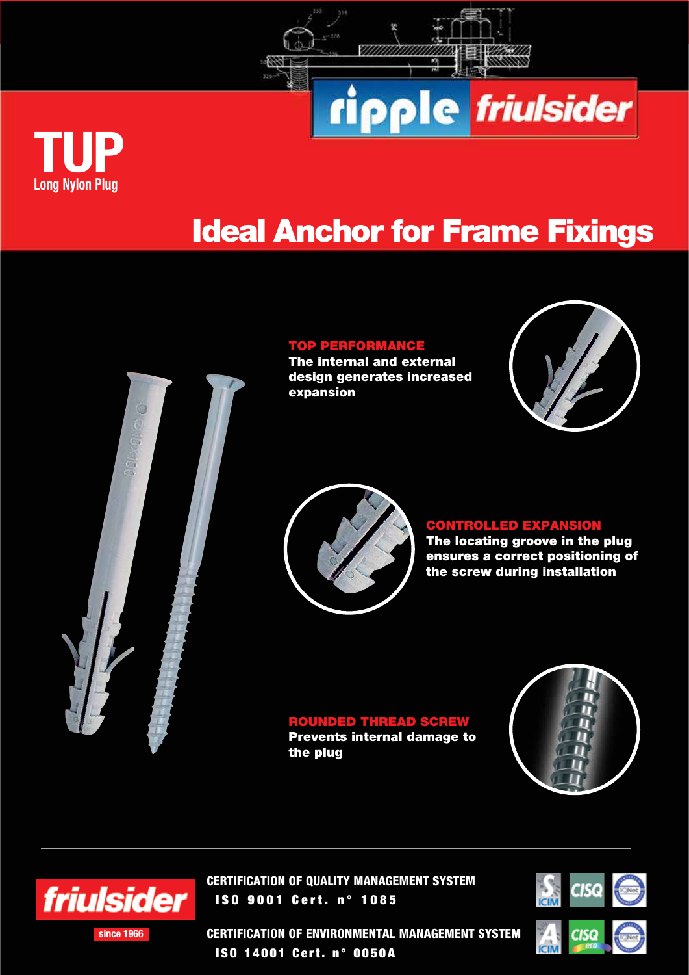



ripple friulsider

## TOP PERFORMANCE

The internal and external design generates increased expansion







## CONTROLLED EXPANSION

The locating groove in the plug ensures a correct positioning of the screw during installation

ROUNDED THREAD SCREW Prevents internal damage to the plug





since 1966

CERTIFICATION OF QUALITY MANAGEMENT SYSTEM ISO 9001 Cert. n° 1085



CERTIFICATION OF ENVIRONMENTAL MANAGEMENT SYSTEM ISO 14001 Cert. n° 0050A